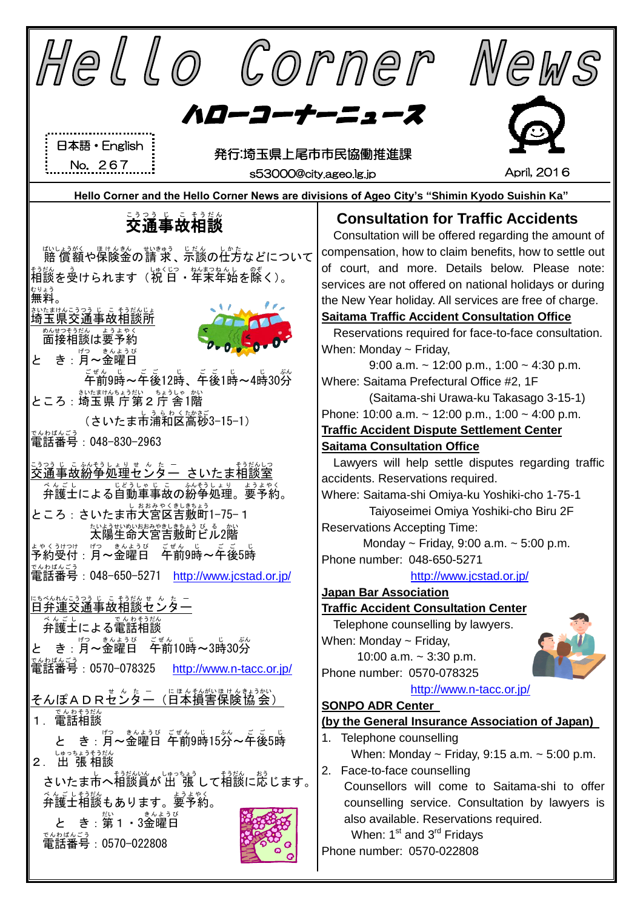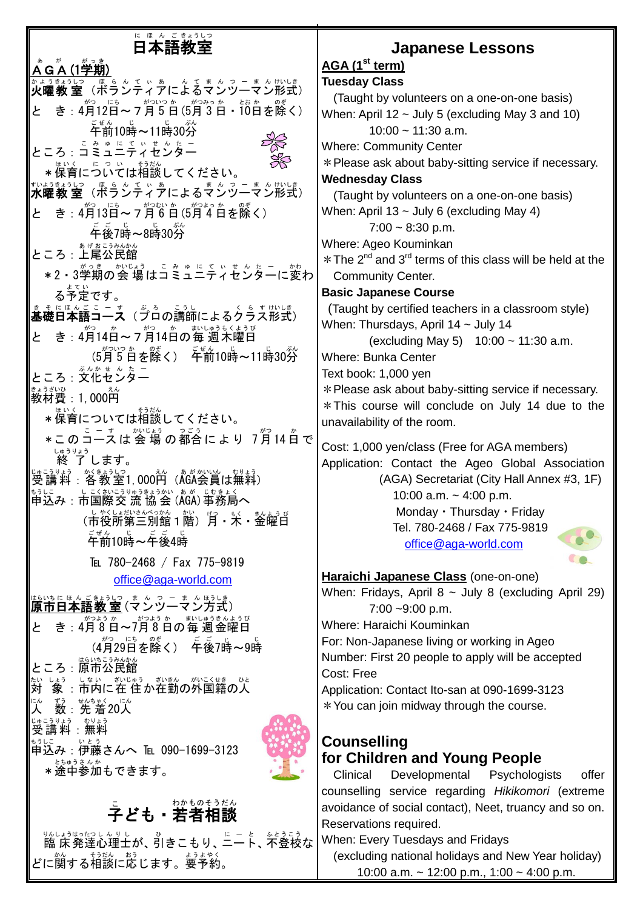## に<sub>ほんごまおし</sub>っ<br>**日本語教室**

### **ÅGA (1学期)** ゕょぅぉぅしっ ぼぅ~てぃぁ んくまんっ‐まんサハレき)<br>**火曜教 室**(ボランティアによるマンツーマン形式) と き: 4月12日~7月5日(5月3日・10日を除く) ゠<sub>゠゙</sub><br>午前10時~11時30分 ところ : <sup>こ み ゅ に て ぃ せ <sup>ん た ー</sup></sup> \*保育にっいては相談してください。 <sub>すいようもぶ</sub>。<br>**水曜教 室**(ボランティアによるマンツーマン形式) と き : 4月13日〜7月6日(5月4日を除く) 。<br>午後7時~8時30分 ところ : <del>ま</del>ばまこうみんかん<br>ところ : 上尾公民館 \*2・3学期の会 場はコミュニティセンターに変わ る予定 よてい です。 まぇに<u>はんぎューす</u>(ゔぅの言うし<br>**基礎日本語コース**(プロの講師によるクラス形式) と き:4月14白~ァ<sup>約</sup>14百の毎 週木曜日 (5月5日を除く) 午前10時~11時30分 ところ : 文化センター 。。。。<br>教材費:1,000円 **\*保育については相談してください。** \* このコースは 会 場 の都合に よ り 7月 14 白 で 終 了 しゅうりょう します。 じゅこうりょう がきまうしつ えん あがかいん むりょう<br>受講料:各教室1,000円(AGA会員は無料) もうに<br>申込み:市国際交 流 協 会 (ÅGA)事務局へ (市役所第三別館1階)月・米・釜罐肖 <sub>ごぜん じ</sub><br>午前10時〜午後4時 TEL 780-2468 / Fax 775-9819 [office@aga-world.com](mailto:office@aga-world.com) 原市 はらいち 日本語 にほんご 教 室 きょうしつ (マンツーマン ま ん つーまん 方式 ほうしき ) と き:4月8日〜7月8日の毎週金曜日 (4月29日を除く) 午後7時~9時 ところ : 原市公民館 対 たい しょう しない がじゅう ぎいきん がいこくせき ひと<br>「**象 :市内に在 住 か在勤の外国籍の人** 人 にん <sub>ずぅ セ</sub>ℴℴ<sub>ゃく </sub>に。<br>数:先着20人 受講料 じゅこうりょう :無料 むりょう もぅしこ<br>申込み : 伊藤さんへ ℡ 090-1699-3123 \*途中参加もできます。<br>\*途中参加もできます。 ことも・若者相談

。<br>臨 床 発達心理士が、引きこもり、ニート、不登校な どに関する相談に応じます。要予約。

## **Japanese Lessons**

# **AGA (1 st term)**

**Tuesday Class**  (Taught by volunteers on a one-on-one basis) When: April 12  $\sim$  July 5 (excluding May 3 and 10)  $10:00 \approx 11:30$  a.m. Where: Community Center \*Please ask about baby-sitting service if necessary. **Wednesday Class**  (Taught by volunteers on a one-on-one basis) When: April 13  $\sim$  July 6 (excluding May 4)  $7:00 \sim 8:30 \text{ p.m.}$ Where: Ageo Kouminkan  $*$  The 2<sup>nd</sup> and 3<sup>rd</sup> terms of this class will be held at the Community Center. **Basic Japanese Course** (Taught by certified teachers in a classroom style) When: Thursdays, April 14 ~ July 14 (excluding May 5) 10:00 ~ 11:30 a.m. Where: Bunka Center Text book: 1,000 yen

\*Please ask about baby-sitting service if necessary. \*This course will conclude on July 14 due to the unavailability of the room.

Cost: 1,000 yen/class (Free for AGA members) Application: Contact the Ageo Global Association (AGA) Secretariat (City Hall Annex #3, 1F) 10:00 a.m.  $\sim$  4:00 p.m. Monday・Thursday・Friday Tel. 780-2468 / Fax 775-9819 [office@aga-world.com](mailto:office@aga-world.com)

**Haraichi Japanese Class** (one-on-one) When: Fridays, April  $8 \sim$  July 8 (excluding April 29) 7:00 ~9:00 p.m. Where: Haraichi Kouminkan For: Non-Japanese living or working in Ageo Number: First 20 people to apply will be accepted Cost: Free Application: Contact Ito-san at 090-1699-3123 \*You can join midway through the course.

#### **Counselling for Children and Young People**

Clinical Developmental Psychologists offer counselling service regarding *Hikikomori* (extreme avoidance of social contact), Neet, truancy and so on. Reservations required.

When: Every Tuesdays and Fridays (excluding national holidays and New Year holiday) 10:00 a.m. ~ 12:00 p.m., 1:00 ~ 4:00 p.m.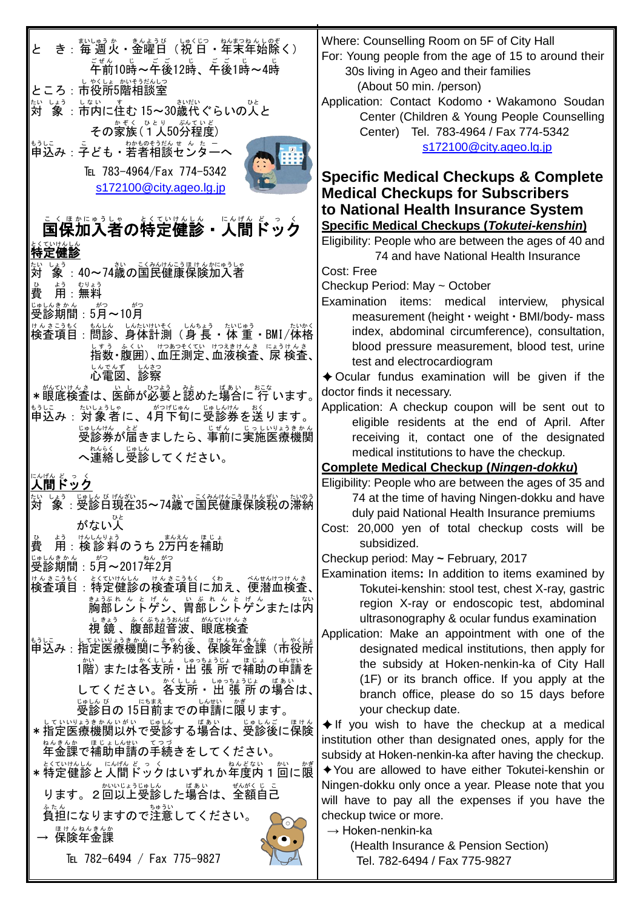| き:毎週火・金曜日(祝日・年末年始除く)                                                         | Where: Counselling Room on 5F of City Hall<br>For: Young people from the age of 15 to around their                    |
|------------------------------------------------------------------------------|-----------------------------------------------------------------------------------------------------------------------|
| $\tilde{\tilde{\mathsf{F}}}^{\sharp\,\&}_0$ 10時~午後12時、午後1時~4時                | 30s living in Ageo and their families                                                                                 |
| ところ : 市役所5階相談室                                                               | (About 50 min. /person)<br>Application: Contact Kodomo · Wakamono Soudan                                              |
| <u>ないよう。はないてま</u> む 15~30歳代ぐらいの人と                                            | Center (Children & Young People Counselling                                                                           |
| その家族(1人50分程度)                                                                | Center) Tel. 783-4964 / Fax 774-5342                                                                                  |
| もうに<br>申込み:子ども・若者相談センターへ                                                     | s172100@city.ageo.lg.jp                                                                                               |
| TEL 783-4964/Fax 774-5342                                                    | <b>Specific Medical Checkups &amp; Complete</b>                                                                       |
| s172100@city.ageo.lg.jp                                                      | <b>Medical Checkups for Subscribers</b>                                                                               |
|                                                                              | to National Health Insurance System                                                                                   |
| 国保加入者の特定健診・人間ドック                                                             | <b>Specific Medical Checkups (Tokutei-kenshin)</b>                                                                    |
| 時定健診                                                                         | Eligibility: People who are between the ages of 40 and                                                                |
| しょぅ<br><b>象:40~74歳の国民健康保険加入者</b>                                             | 74 and have National Health Insurance<br>Cost: Free                                                                   |
| ょぅ むりょう<br>用:無料                                                              | Checkup Period: May ~ October                                                                                         |
|                                                                              | Examination items: medical interview, physical                                                                        |
|                                                                              | measurement (height · weight · BMI/body- mass                                                                         |
| けんきこうもく もんしん しんたいけいそく しんちょう たいじゅう さいかく<br>検査項目:問診、身体計測(身 長 ・体 重 ・BMI/体格      | index, abdominal circumference), consultation,<br>blood pressure measurement, blood test, urine                       |
| はず。 ふくい じつをくてい にっぽんき にょうけんき                                                  | test and electrocardiogram                                                                                            |
| いたが いお                                                                       | $\triangle$ Ocular fundus examination will be given if the                                                            |
| *服底検査は、医師が必要と認めた場合に 行 います。                                                   | doctor finds it necessary.                                                                                            |
| <u>もに。、なは</u> が、<br>申込み:対象者に、4月下旬に受診券を送ります。                                  | Application: A checkup coupon will be sent out to                                                                     |
| 。<br>受診券が届きましたら、事前に実施医療機関                                                    | eligible residents at the end of April. After<br>receiving it, contact one of the designated                          |
| へ連絡し受診してください。                                                                | medical institutions to have the checkup.                                                                             |
|                                                                              | <b>Complete Medical Checkup (Ningen-dokku)</b>                                                                        |
|                                                                              | Eligibility: People who are between the ages of 35 and                                                                |
|                                                                              | 74 at the time of having Ningen-dokku and have<br>duly paid National Health Insurance premiums                        |
| がない人                                                                         | Cost: 20,000 yen of total checkup costs will be                                                                       |
| 第: 換診料のうち2万円を補助<br>費                                                         | subsidized.                                                                                                           |
| ねんがつ                                                                         | Checkup period: May ~ February, 2017                                                                                  |
| とくていけんしん。 けんきこうもく くわ 、 べんせんけつけんき、<br>特定健診の検査項目に加え、便潜血検査、<br>ナん さこうもく<br>検査項目 | Examination items: In addition to items examined by<br>Tokutei-kenshin: stool test, chest X-ray, gastric              |
| <b>論部たントゲン、肖部レントゲンまたは内</b>                                                   | region X-ray or endoscopic test, abdominal                                                                            |
| 眼底検査                                                                         | ultrasonography & ocular fundus examination                                                                           |
| もうしこ  していいまうきかん  よやく ぼ はんねんきんか<br>申込み : 指定医療機関に予約後、保険年金課<br>し やくしょ           | Application: Make an appointment with one of the                                                                      |
| (市役所<br>- *:\<br>1階) または各支所 • 出 張 所で補助の申請を                                   | designated medical institutions, then apply for<br>the subsidy at Hoken-nenkin-ka of City Hall                        |
|                                                                              | (1F) or its branch office. If you apply at the                                                                        |
| してください。各支所・出張所の場合は、                                                          | branch office, please do so 15 days before                                                                            |
| 。<br>受診日の15日前までの単請に限ります。                                                     | your checkup date.                                                                                                    |
| → していいょうきかんいがい じゅしん<br>*指定医療機関以外で受診する場合は、受診後に保険                              | $\blacklozenge$ If you wish to have the checkup at a medical<br>institution other than designated ones, apply for the |
|                                                                              | subsidy at Hoken-nenkin-ka after having the checkup.                                                                  |
| ★ 特定健診と人間ドックはいずれか年度内1回に限                                                     | ◆ You are allowed to have either Tokutei-kenshin or                                                                   |
| ります。2回以上受診した場合は、全額自己                                                         | Ningen-dokku only once a year. Please note that you                                                                   |
| 。た。<br>負担になりますので注意してください。                                                    | will have to pay all the expenses if you have the<br>checkup twice or more.                                           |
| はけんねんきんか<br><b>保険年金課</b>                                                     | $\rightarrow$ Hoken-nenkin-ka                                                                                         |
|                                                                              | (Health Insurance & Pension Section)                                                                                  |
| TEL 782-6494 / Fax 775-9827                                                  | Tel. 782-6494 / Fax 775-9827                                                                                          |